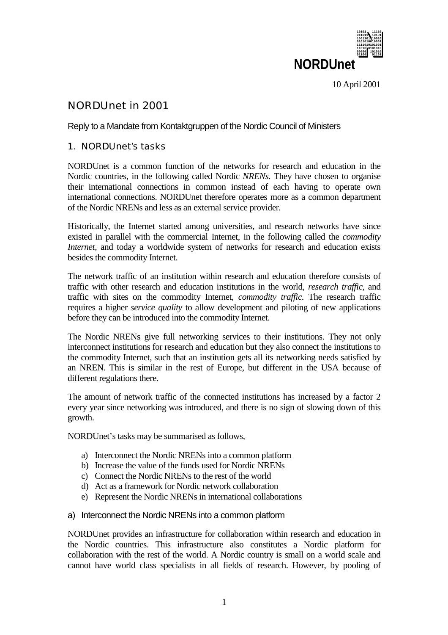

10 April 2001

# NORDUnet in 2001

## Reply to a Mandate from Kontaktgruppen of the Nordic Council of Ministers

## 1. NORDUnet's tasks

NORDUnet is a common function of the networks for research and education in the Nordic countries, in the following called Nordic *NRENs*. They have chosen to organise their international connections in common instead of each having to operate own international connections. NORDUnet therefore operates more as a common department of the Nordic NRENs and less as an external service provider.

Historically, the Internet started among universities, and research networks have since existed in parallel with the commercial Internet, in the following called the *commodity Internet,* and today a worldwide system of networks for research and education exists besides the commodity Internet.

The network traffic of an institution within research and education therefore consists of traffic with other research and education institutions in the world, *research traffic*, and traffic with sites on the commodity Internet, *commodity traffic*. The research traffic requires a higher *service quality* to allow development and piloting of new applications before they can be introduced into the commodity Internet.

The Nordic NRENs give full networking services to their institutions. They not only interconnect institutions for research and education but they also connect the institutions to the commodity Internet, such that an institution gets all its networking needs satisfied by an NREN. This is similar in the rest of Europe, but different in the USA because of different regulations there.

The amount of network traffic of the connected institutions has increased by a factor 2 every year since networking was introduced, and there is no sign of slowing down of this growth.

NORDUnet's tasks may be summarised as follows,

- a) Interconnect the Nordic NRENs into a common platform
- b) Increase the value of the funds used for Nordic NRENs
- c) Connect the Nordic NRENs to the rest of the world
- d) Act as a framework for Nordic network collaboration
- e) Represent the Nordic NRENs in international collaborations
- a) Interconnect the Nordic NRENs into a common platform

NORDUnet provides an infrastructure for collaboration within research and education in the Nordic countries. This infrastructure also constitutes a Nordic platform for collaboration with the rest of the world. A Nordic country is small on a world scale and cannot have world class specialists in all fields of research. However, by pooling of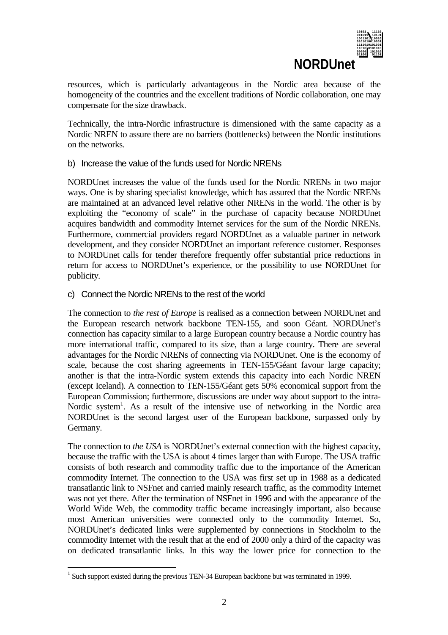

resources, which is particularly advantageous in the Nordic area because of the homogeneity of the countries and the excellent traditions of Nordic collaboration, one may compensate for the size drawback.

Technically, the intra-Nordic infrastructure is dimensioned with the same capacity as a Nordic NREN to assure there are no barriers (bottlenecks) between the Nordic institutions on the networks.

### b) Increase the value of the funds used for Nordic NRENs

NORDUnet increases the value of the funds used for the Nordic NRENs in two major ways. One is by sharing specialist knowledge, which has assured that the Nordic NRENs are maintained at an advanced level relative other NRENs in the world. The other is by exploiting the "economy of scale" in the purchase of capacity because NORDUnet acquires bandwidth and commodity Internet services for the sum of the Nordic NRENs. Furthermore, commercial providers regard NORDUnet as a valuable partner in network development, and they consider NORDUnet an important reference customer. Responses to NORDUnet calls for tender therefore frequently offer substantial price reductions in return for access to NORDUnet's experience, or the possibility to use NORDUnet for publicity.

### c) Connect the Nordic NRENs to the rest of the world

The connection to *the rest of Europe* is realised as a connection between NORDUnet and the European research network backbone TEN-155, and soon Géant. NORDUnet's connection has capacity similar to a large European country because a Nordic country has more international traffic, compared to its size, than a large country. There are several advantages for the Nordic NRENs of connecting via NORDUnet. One is the economy of scale, because the cost sharing agreements in TEN-155/Géant favour large capacity; another is that the intra-Nordic system extends this capacity into each Nordic NREN (except Iceland). A connection to TEN-155/Géant gets 50% economical support from the European Commission; furthermore, discussions are under way about support to the intra-Nordic system<sup>1</sup>. As a result of the intensive use of networking in the Nordic area NORDUnet is the second largest user of the European backbone, surpassed only by Germany.

The connection to *the USA* is NORDUnet's external connection with the highest capacity, because the traffic with the USA is about 4 times larger than with Europe. The USA traffic consists of both research and commodity traffic due to the importance of the American commodity Internet. The connection to the USA was first set up in 1988 as a dedicated transatlantic link to NSFnet and carried mainly research traffic, as the commodity Internet was not yet there. After the termination of NSFnet in 1996 and with the appearance of the World Wide Web, the commodity traffic became increasingly important, also because most American universities were connected only to the commodity Internet. So, NORDUnet's dedicated links were supplemented by connections in Stockholm to the commodity Internet with the result that at the end of 2000 only a third of the capacity was on dedicated transatlantic links. In this way the lower price for connection to the

 $\overline{a}$ 

<sup>&</sup>lt;sup>1</sup> Such support existed during the previous TEN-34 European backbone but was terminated in 1999.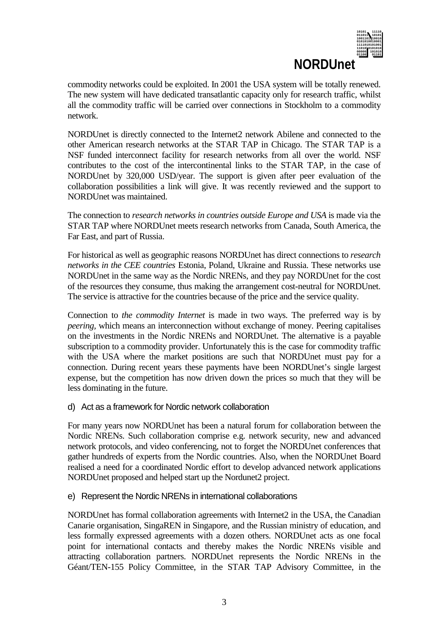

commodity networks could be exploited. In 2001 the USA system will be totally renewed. The new system will have dedicated transatlantic capacity only for research traffic, whilst all the commodity traffic will be carried over connections in Stockholm to a commodity network.

NORDUnet is directly connected to the Internet2 network Abilene and connected to the other American research networks at the STAR TAP in Chicago. The STAR TAP is a NSF funded interconnect facility for research networks from all over the world. NSF contributes to the cost of the intercontinental links to the STAR TAP, in the case of NORDUnet by 320,000 USD/year. The support is given after peer evaluation of the collaboration possibilities a link will give. It was recently reviewed and the support to NORDUnet was maintained.

The connection to *research networks in countries outside Europe and USA* is made via the STAR TAP where NORDUnet meets research networks from Canada, South America, the Far East, and part of Russia.

For historical as well as geographic reasons NORDUnet has direct connections to *research networks in the CEE countries* Estonia, Poland, Ukraine and Russia. These networks use NORDUnet in the same way as the Nordic NRENs, and they pay NORDUnet for the cost of the resources they consume, thus making the arrangement cost-neutral for NORDUnet. The service is attractive for the countries because of the price and the service quality.

Connection to *the commodity Internet* is made in two ways. The preferred way is by *peering,* which means an interconnection without exchange of money. Peering capitalises on the investments in the Nordic NRENs and NORDUnet. The alternative is a payable subscription to a commodity provider. Unfortunately this is the case for commodity traffic with the USA where the market positions are such that NORDUnet must pay for a connection. During recent years these payments have been NORDUnet's single largest expense, but the competition has now driven down the prices so much that they will be less dominating in the future.

### d) Act as a framework for Nordic network collaboration

For many years now NORDUnet has been a natural forum for collaboration between the Nordic NRENs. Such collaboration comprise e.g. network security, new and advanced network protocols, and video conferencing, not to forget the NORDUnet conferences that gather hundreds of experts from the Nordic countries. Also, when the NORDUnet Board realised a need for a coordinated Nordic effort to develop advanced network applications NORDUnet proposed and helped start up the Nordunet2 project.

### e) Represent the Nordic NRENs in international collaborations

NORDUnet has formal collaboration agreements with Internet2 in the USA, the Canadian Canarie organisation, SingaREN in Singapore, and the Russian ministry of education, and less formally expressed agreements with a dozen others. NORDUnet acts as one focal point for international contacts and thereby makes the Nordic NRENs visible and attracting collaboration partners. NORDUnet represents the Nordic NRENs in the Géant/TEN-155 Policy Committee, in the STAR TAP Advisory Committee, in the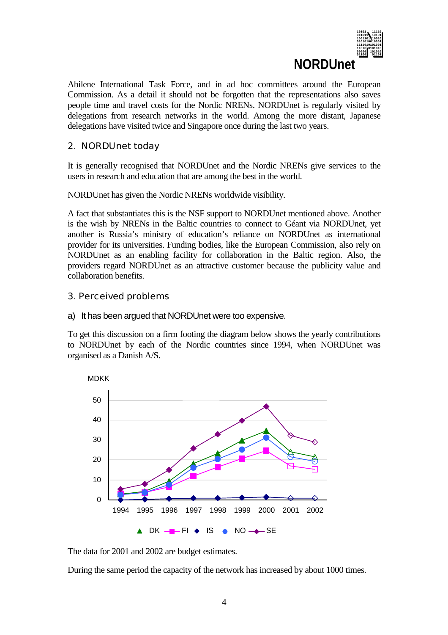

Abilene International Task Force, and in ad hoc committees around the European Commission. As a detail it should not be forgotten that the representations also saves people time and travel costs for the Nordic NRENs. NORDUnet is regularly visited by delegations from research networks in the world. Among the more distant, Japanese delegations have visited twice and Singapore once during the last two years.

## 2. NORDUnet today

It is generally recognised that NORDUnet and the Nordic NRENs give services to the users in research and education that are among the best in the world.

NORDUnet has given the Nordic NRENs worldwide visibility.

A fact that substantiates this is the NSF support to NORDUnet mentioned above. Another is the wish by NRENs in the Baltic countries to connect to Géant via NORDUnet, yet another is Russia's ministry of education's reliance on NORDUnet as international provider for its universities. Funding bodies, like the European Commission, also rely on NORDUnet as an enabling facility for collaboration in the Baltic region. Also, the providers regard NORDUnet as an attractive customer because the publicity value and collaboration benefits.

3. Perceived problems

#### a) It has been argued that NORDUnet were too expensive.

To get this discussion on a firm footing the diagram below shows the yearly contributions to NORDUnet by each of the Nordic countries since 1994, when NORDUnet was organised as a Danish A/S.



The data for 2001 and 2002 are budget estimates.

During the same period the capacity of the network has increased by about 1000 times.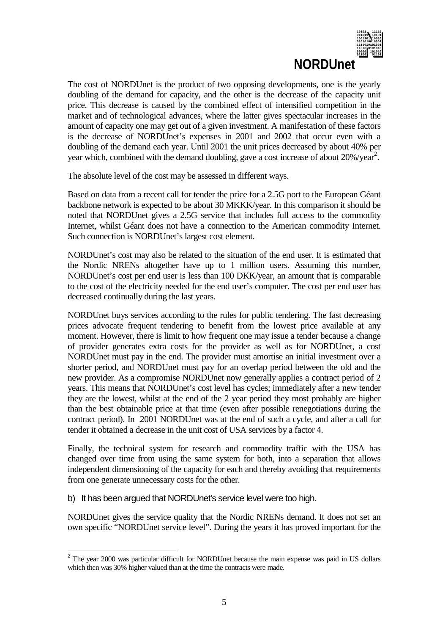

The cost of NORDUnet is the product of two opposing developments, one is the yearly doubling of the demand for capacity, and the other is the decrease of the capacity unit price. This decrease is caused by the combined effect of intensified competition in the market and of technological advances, where the latter gives spectacular increases in the amount of capacity one may get out of a given investment. A manifestation of these factors is the decrease of NORDUnet's expenses in 2001 and 2002 that occur even with a doubling of the demand each year. Until 2001 the unit prices decreased by about 40% per year which, combined with the demand doubling, gave a cost increase of about 20%/year<sup>2</sup>.

The absolute level of the cost may be assessed in different ways.

Based on data from a recent call for tender the price for a 2.5G port to the European Géant backbone network is expected to be about 30 MKKK/year. In this comparison it should be noted that NORDUnet gives a 2.5G service that includes full access to the commodity Internet, whilst Géant does not have a connection to the American commodity Internet. Such connection is NORDUnet's largest cost element.

NORDUnet's cost may also be related to the situation of the end user. It is estimated that the Nordic NRENs altogether have up to 1 million users. Assuming this number, NORDUnet's cost per end user is less than 100 DKK/year, an amount that is comparable to the cost of the electricity needed for the end user's computer. The cost per end user has decreased continually during the last years.

NORDUnet buys services according to the rules for public tendering. The fast decreasing prices advocate frequent tendering to benefit from the lowest price available at any moment. However, there is limit to how frequent one may issue a tender because a change of provider generates extra costs for the provider as well as for NORDUnet, a cost NORDUnet must pay in the end. The provider must amortise an initial investment over a shorter period, and NORDUnet must pay for an overlap period between the old and the new provider. As a compromise NORDUnet now generally applies a contract period of 2 years. This means that NORDUnet's cost level has cycles; immediately after a new tender they are the lowest, whilst at the end of the 2 year period they most probably are higher than the best obtainable price at that time (even after possible renegotiations during the contract period). In 2001 NORDUnet was at the end of such a cycle, and after a call for tender it obtained a decrease in the unit cost of USA services by a factor 4.

Finally, the technical system for research and commodity traffic with the USA has changed over time from using the same system for both, into a separation that allows independent dimensioning of the capacity for each and thereby avoiding that requirements from one generate unnecessary costs for the other.

b) It has been argued that NORDUnet's service level were too high.

 $\overline{a}$ 

NORDUnet gives the service quality that the Nordic NRENs demand. It does not set an own specific "NORDUnet service level". During the years it has proved important for the

 $2$  The year 2000 was particular difficult for NORDUnet because the main expense was paid in US dollars which then was 30% higher valued than at the time the contracts were made.